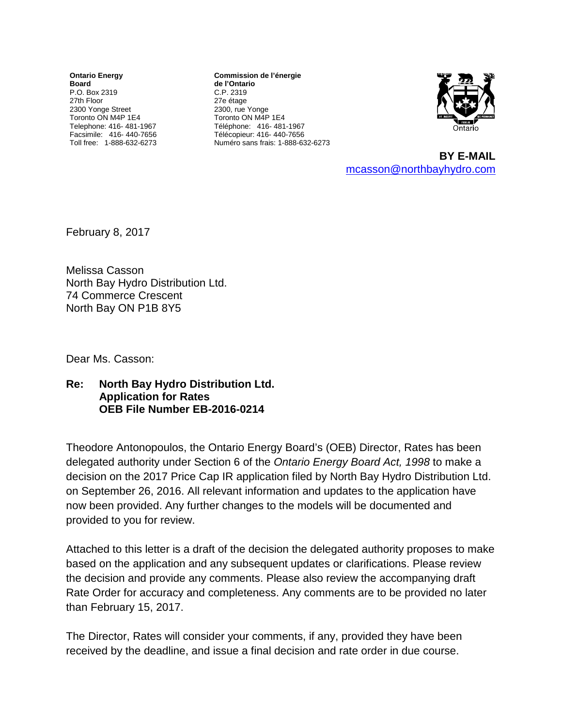**Ontario Energy Board** P.O. Box 2319 27th Floor 2300 Yonge Street Toronto ON M4P 1E4 Telephone: 416- 481-1967 Facsimile: 416- 440-7656 Toll free: 1-888-632-6273

**Commission de l'énergie de l'Ontario** C.P. 2319 27e étage 2300, rue Yonge Toronto ON M4P 1E4 Téléphone: 416- 481-1967 Télécopieur: 416- 440-7656 Numéro sans frais: 1-888-632-6273



**BY E-MAIL**  [mcasson@northbayhydro.com](mailto:mcasson@northbayhydro.com)

February 8, 2017

Melissa Casson North Bay Hydro Distribution Ltd. 74 Commerce Crescent North Bay ON P1B 8Y5

Dear Ms. Casson:

## **Re: North Bay Hydro Distribution Ltd. Application for Rates OEB File Number EB-2016-0214**

Theodore Antonopoulos, the Ontario Energy Board's (OEB) Director, Rates has been delegated authority under Section 6 of the *Ontario Energy Board Act, 1998* to make a decision on the 2017 Price Cap IR application filed by North Bay Hydro Distribution Ltd. on September 26, 2016. All relevant information and updates to the application have now been provided. Any further changes to the models will be documented and provided to you for review.

Attached to this letter is a draft of the decision the delegated authority proposes to make based on the application and any subsequent updates or clarifications. Please review the decision and provide any comments. Please also review the accompanying draft Rate Order for accuracy and completeness. Any comments are to be provided no later than February 15, 2017.

The Director, Rates will consider your comments, if any, provided they have been received by the deadline, and issue a final decision and rate order in due course.